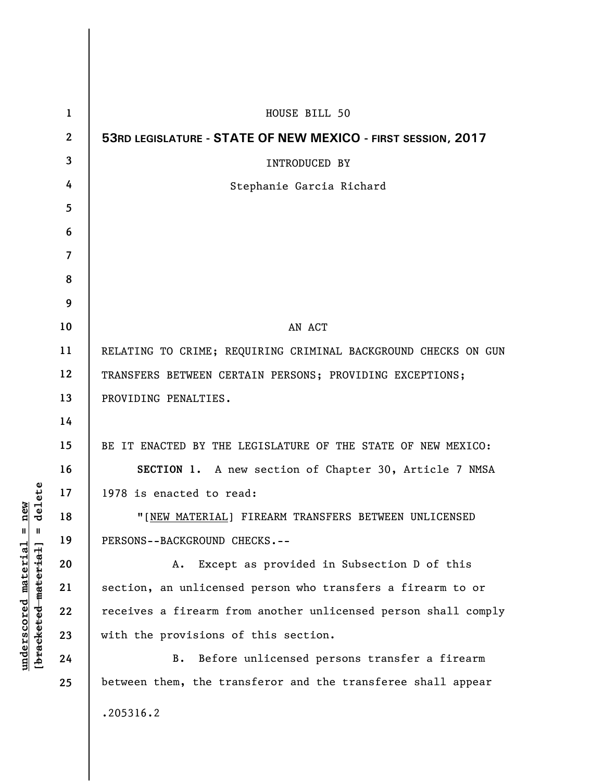|                                          | $\mathbf{1}$             | HOUSE BILL 50                                                  |
|------------------------------------------|--------------------------|----------------------------------------------------------------|
| elete<br>᠊ᠣ<br>Ш<br>[bracketed-material] | $\boldsymbol{2}$         | 53RD LEGISLATURE - STATE OF NEW MEXICO - FIRST SESSION, 2017   |
|                                          | 3                        | INTRODUCED BY                                                  |
|                                          | 4                        | Stephanie Garcia Richard                                       |
|                                          | 5                        |                                                                |
|                                          | 6                        |                                                                |
|                                          | $\overline{\mathcal{L}}$ |                                                                |
|                                          | 8                        |                                                                |
|                                          | 9                        |                                                                |
|                                          | 10                       | AN ACT                                                         |
|                                          | 11                       | RELATING TO CRIME; REQUIRING CRIMINAL BACKGROUND CHECKS ON GUN |
|                                          | 12                       | TRANSFERS BETWEEN CERTAIN PERSONS; PROVIDING EXCEPTIONS;       |
|                                          | 13                       | PROVIDING PENALTIES.                                           |
|                                          | 14                       |                                                                |
|                                          | 15                       | BE IT ENACTED BY THE LEGISLATURE OF THE STATE OF NEW MEXICO:   |
|                                          | 16                       | SECTION 1. A new section of Chapter 30, Article 7 NMSA         |
|                                          | 17                       | 1978 is enacted to read:                                       |
|                                          | 18                       | "[NEW MATERIAL] FIREARM TRANSFERS BETWEEN UNLICENSED           |
|                                          | 19                       | PERSONS--BACKGROUND CHECKS.--                                  |
|                                          | 20                       | Except as provided in Subsection D of this<br>Α.               |
|                                          | 21                       | section, an unlicensed person who transfers a firearm to or    |
|                                          | 22                       | receives a firearm from another unlicensed person shall comply |
|                                          | 23                       | with the provisions of this section.                           |
|                                          | 24                       | Before unlicensed persons transfer a firearm<br>B.             |
|                                          | 25                       | between them, the transferor and the transferee shall appear   |
|                                          |                          | .205316.2                                                      |

**underscored material = new [bracketed material] = delete**

 $underscored material = new$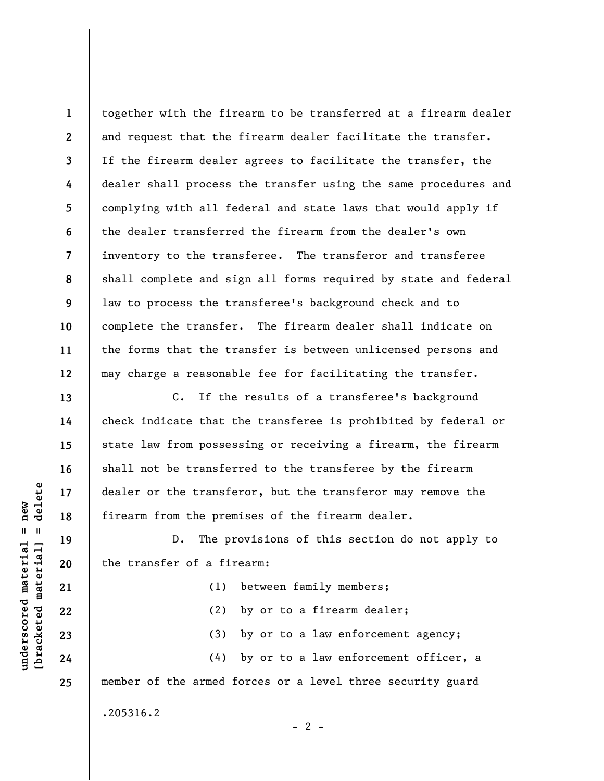together with the firearm to be transferred at a firearm dealer and request that the firearm dealer facilitate the transfer. If the firearm dealer agrees to facilitate the transfer, the dealer shall process the transfer using the same procedures and complying with all federal and state laws that would apply if the dealer transferred the firearm from the dealer's own inventory to the transferee. The transferor and transferee shall complete and sign all forms required by state and federal law to process the transferee's background check and to complete the transfer. The firearm dealer shall indicate on the forms that the transfer is between unlicensed persons and may charge a reasonable fee for facilitating the transfer.

C. If the results of a transferee's background check indicate that the transferee is prohibited by federal or state law from possessing or receiving a firearm, the firearm shall not be transferred to the transferee by the firearm dealer or the transferor, but the transferor may remove the firearm from the premises of the firearm dealer.

D. The provisions of this section do not apply to the transfer of a firearm:

(1) between family members; (2) by or to a firearm dealer; (3) by or to a law enforcement agency; (4) by or to a law enforcement officer, a member of the armed forces or a level three security guard

 $- 2 -$ 

.205316.2

delete **[bracketed material] = delete**  $anderscored material = new$ **underscored material = new**  $\mathbf{u}$ bracketed material

**1** 

**2** 

**3** 

**4** 

**5** 

**6** 

**7** 

**8** 

**9** 

**10** 

**11** 

**12** 

**13** 

**14** 

**15** 

**16** 

**17** 

**18** 

**19** 

**20** 

**21** 

**22** 

**23** 

**24** 

**25**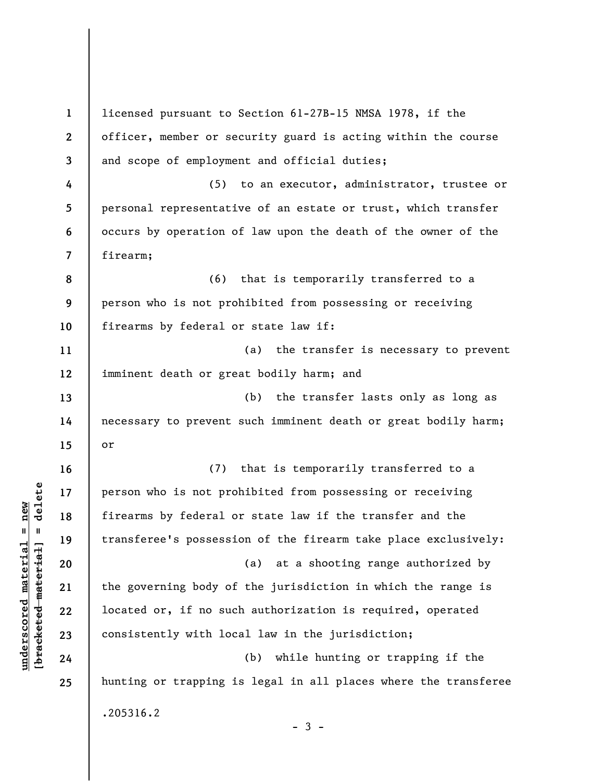**1 2 3 4 5 6 7 8 9 10 11 12 13 14 15 16 17 18 19 20 21 22 23 24 25**  licensed pursuant to Section 61-27B-15 NMSA 1978, if the officer, member or security guard is acting within the course and scope of employment and official duties; (5) to an executor, administrator, trustee or personal representative of an estate or trust, which transfer occurs by operation of law upon the death of the owner of the firearm; (6) that is temporarily transferred to a person who is not prohibited from possessing or receiving firearms by federal or state law if: (a) the transfer is necessary to prevent imminent death or great bodily harm; and (b) the transfer lasts only as long as necessary to prevent such imminent death or great bodily harm; or (7) that is temporarily transferred to a person who is not prohibited from possessing or receiving firearms by federal or state law if the transfer and the transferee's possession of the firearm take place exclusively: (a) at a shooting range authorized by the governing body of the jurisdiction in which the range is located or, if no such authorization is required, operated consistently with local law in the jurisdiction; (b) while hunting or trapping if the hunting or trapping is legal in all places where the transferee .205316.2  $-3 -$ 

 $\frac{1}{2}$  intereted material = delete **[bracketed material] = delete**  $underscored material = new$ **underscored material = new**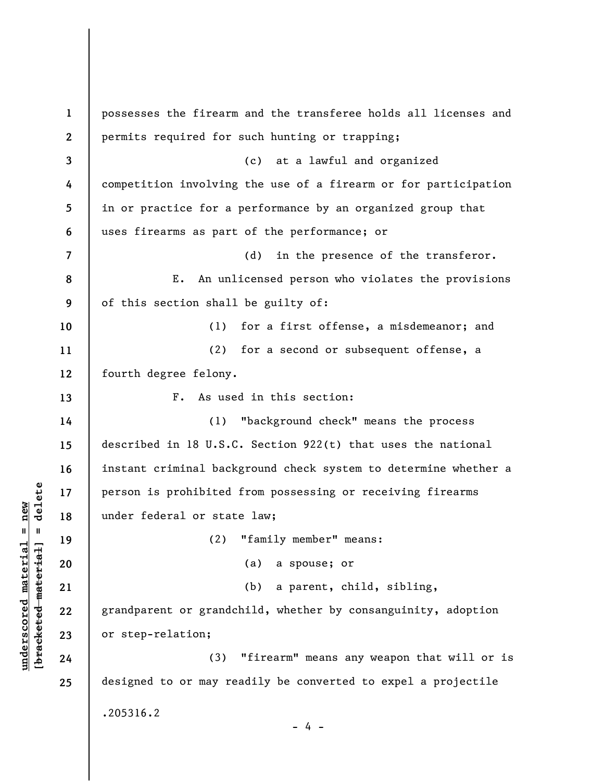**1 2 3 4 5 6 7 8 9 10 11 12 13 14 15 16 17 18 19 20 21 22 23 24 25**  possesses the firearm and the transferee holds all licenses and permits required for such hunting or trapping; (c) at a lawful and organized competition involving the use of a firearm or for participation in or practice for a performance by an organized group that uses firearms as part of the performance; or (d) in the presence of the transferor. E. An unlicensed person who violates the provisions of this section shall be guilty of: (1) for a first offense, a misdemeanor; and (2) for a second or subsequent offense, a fourth degree felony. F. As used in this section: (1) "background check" means the process described in 18 U.S.C. Section 922(t) that uses the national instant criminal background check system to determine whether a person is prohibited from possessing or receiving firearms under federal or state law; (2) "family member" means: (a) a spouse; or (b) a parent, child, sibling, grandparent or grandchild, whether by consanguinity, adoption or step-relation; (3) "firearm" means any weapon that will or is designed to or may readily be converted to expel a projectile .205316.2 - 4 -

**underscored material = new [bracketed material] = delete**

 $\frac{1}{2}$  intereted material = delete  $underscored material = new$